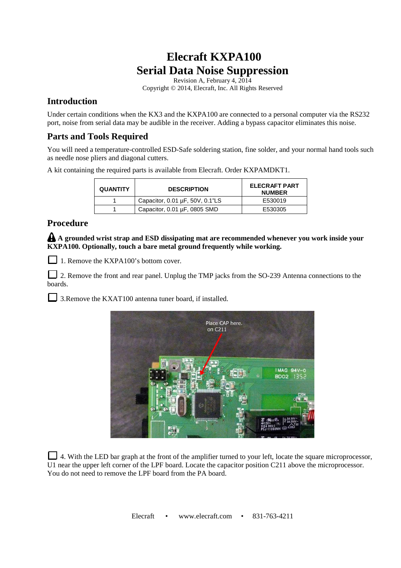## **Elecraft KXPA100 Serial Data Noise Suppression**

Revision A, February 4, 2014 Copyright © 2014, Elecraft, Inc. All Rights Reserved

## **Introduction**

Under certain conditions when the KX3 and the KXPA100 are connected to a personal computer via the RS232 port, noise from serial data may be audible in the receiver. Adding a bypass capacitor eliminates this noise.

## **Parts and Tools Required**

You will need a temperature-controlled ESD-Safe soldering station, fine solder, and your normal hand tools such as needle nose pliers and diagonal cutters.

A kit containing the required parts is available from Elecraft. Order KXPAMDKT1.

| <b>QUANTITY</b> | <b>DESCRIPTION</b>              | <b>ELECRAFT PART</b><br><b>NUMBER</b> |
|-----------------|---------------------------------|---------------------------------------|
|                 | Capacitor, 0.01 µF, 50V, 0.1"LS | E530019                               |
|                 | Capacitor, 0.01 µF, 0805 SMD    | E530305                               |

## **Procedure**

**A grounded wrist strap and ESD dissipating mat are recommended whenever you work inside your KXPA100. Optionally, touch a bare metal ground frequently while working.** 

1. Remove the KXPA100's bottom cover.

2. Remove the front and rear panel. Unplug the TMP jacks from the SO-239 Antenna connections to the boards.

3. Remove the KXAT100 antenna tuner board, if installed.



4. With the LED bar graph at the front of the amplifier turned to your left, locate the square microprocessor, U1 near the upper left corner of the LPF board. Locate the capacitor position C211 above the microprocessor. You do not need to remove the LPF board from the PA board.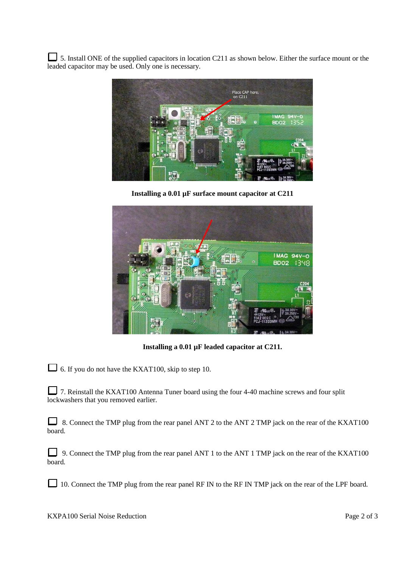5. Install ONE of the supplied capacitors in location C211 as shown below. Either the surface mount or the leaded capacitor may be used. Only one is necessary.



**Installing a 0.01 µF surface mount capacitor at C211** 



**Installing a 0.01 µF leaded capacitor at C211.** 

6. If you do not have the KXAT100, skip to step 10.

7. Reinstall the KXAT100 Antenna Tuner board using the four 4-40 machine screws and four split lockwashers that you removed earlier.

8. Connect the TMP plug from the rear panel ANT 2 to the ANT 2 TMP jack on the rear of the KXAT100 board.

9. Connect the TMP plug from the rear panel ANT 1 to the ANT 1 TMP jack on the rear of the KXAT100 board.

10. Connect the TMP plug from the rear panel RF IN to the RF IN TMP jack on the rear of the LPF board.